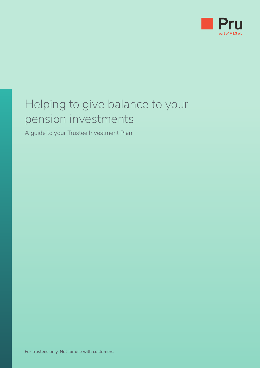

## Helping to give balance to your pension investments

A guide to your Trustee Investment Plan

**For trustees only. Not for use with customers.**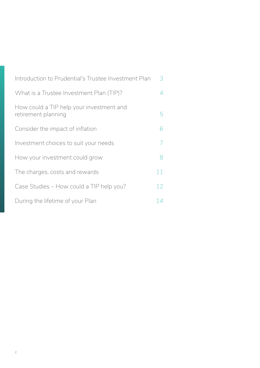| Introduction to Prudential's Trustee Investment Plan            | 3              |
|-----------------------------------------------------------------|----------------|
| What is a Trustee Investment Plan (TIP)?                        | 4              |
| How could a TIP help your investment and<br>retirement planning | 5              |
| Consider the impact of inflation                                | 6              |
| Investment choices to suit your needs                           | $\overline{7}$ |
| How your investment could grow                                  | 8              |
| The charges, costs and rewards                                  | 11             |
| Case Studies - How could a TIP help you?                        | 12             |
| During the lifetime of your Plan                                | 14             |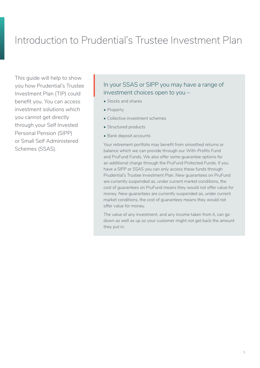## <span id="page-2-0"></span>Introduction to Prudential's Trustee Investment Plan

This guide will help to show you how Prudential's Trustee Investment Plan (TIP) could benefit you. You can access investment solutions which you cannot get directly through your Self Invested Personal Pension (SIPP) or Small Self Administered Schemes (SSAS).

## In your SSAS or SIPP you may have a range of investment choices open to you – In yo<br>inves<br>• Stoc

- Stocks and shares
- Property
- Collective investment schemes
- Structured products
- Bank deposit accounts

Your retirement portfolio may benefit from smoothed returns or balance which we can provide through our With-Profits Fund and PruFund Funds. We also offer some guarantee options for an additional charge through the PruFund Protected Funds. If you have a SIPP or SSAS you can only access these funds through Prudential's Trustee Investment Plan. New guarantees on PruFund are currently suspended as, under current market conditions, the cost of guarantees on PruFund means they would not offer value for money. New guarantees are currently suspended as, under current market conditions, the cost of guarantees means they would not offer value for money.

The value of any investment, and any income taken from it, can go down as well as up so your customer might not get back the amount they put in.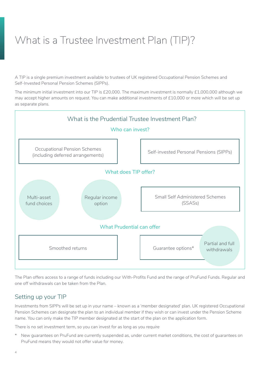## <span id="page-3-0"></span>What is a Trustee Investment Plan (TIP)?

A TIP is a single premium investment available to trustees of UK registered Occupational Pension Schemes and Self-Invested Personal Pension Schemes (SIPPs).

The minimum initial investment into our TIP is £20,000. The maximum investment is normally £1,000,000 although we may accept higher amounts on request. You can make additional investments of £10,000 or more which will be set up as separate plans.



The Plan offers access to a range of funds including our With-Profits Fund and the range of PruFund Funds. Regular and one off withdrawals can be taken from the Plan.

#### Setting up your TIP

Investments from SIPPs will be set up in your name – known as a 'member designated' plan. UK registered Occupational Pension Schemes can designate the plan to an individual member if they wish or can invest under the Pension Scheme name. You can only make the TIP member designated at the start of the plan on the application form.

There is no set investment term, so you can invest for as long as you require

\* New guarantees on PruFund are currently suspended as, under current market conditions, the cost of guarantees on PruFund means they would not offer value for money.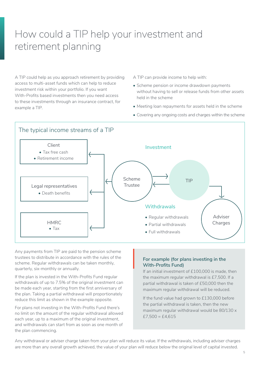## <span id="page-4-0"></span>How could a TIP help your investment and retirement planning

A TIP could help as you approach retirement by providing access to multi-asset funds which can help to reduce investment risk within your portfolio. If you want With-Profits based investments then you need access to these investments through an insurance contract, for example a TIP.

A TIP can provide income to help with:

- Scheme pension or income drawdown payments without having to sell or release funds from other assets held in the scheme
- Meeting loan repayments for assets held in the scheme
- Covering any ongoing costs and charges within the scheme



Any payments from TIP are paid to the pension scheme trustees to distribute in accordance with the rules of the scheme. Regular withdrawals can be taken monthly, quarterly, six-monthly or annually.

If the plan is invested in the With-Profits Fund regular withdrawals of up to 7.5% of the original investment can be made each year, starting from the first anniversary of the plan. Taking a partial withdrawal will proportionately reduce this limit as shown in the example opposite.

For plans not investing in the With-Profits Fund there's no limit on the amount of the regular withdrawal allowed each year, up to a maximum of the original investment. and withdrawals can start from as soon as one month of the plan commencing.

## **For example (for plans investing in the With-Profits Fund)**  $\left|\begin{array}{c} \phantom{-}FC \\ \phantom{-}FG \\ \phantom{-}W \\ \phantom{-}FG \end{array}\right|$

If an initial investment of £100,000 is made, then the maximum regular withdrawal is £7,500. If a partial withdrawal is taken of £50,000 then the maximum regular withdrawal will be reduced.

If the fund value had grown to £130,000 before the partial withdrawal is taken, then the new maximum regular withdrawal would be 80/130 x  $£7,500 = £4,615$ 

Any withdrawal or adviser charge taken from your plan will reduce its value. If the withdrawals, including adviser charges are more than any overall growth achieved, the value of your plan will reduce below the original level of capital invested.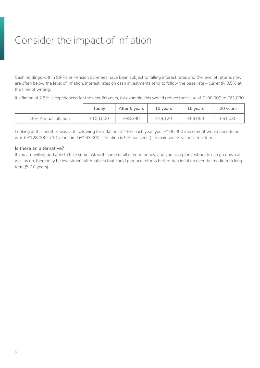## <span id="page-5-0"></span>Consider the impact of inflation

Cash holdings within SIPPs or Pension Schemes have been subject to falling interest rates and the level of returns now are often below the level of inflation. Interest rates on cash investments tend to follow the base rate – currently 0.5% at the time of writing.

If inflation of 2.5% is experienced for the next 20 years, for example, this would reduce the value of £100,000 to £61,030.

|                       | Todav    | After 5 vears | 10 years | 15 years | 20 years |
|-----------------------|----------|---------------|----------|----------|----------|
| 2.5% Annual Inflation | £100,000 | £88,390       | £78.120  | £69.050  | £61.030  |

Looking at this another way, after allowing for inflation at 2.5% each year, your £100,000 investment would need to be worth £128,000 in 10 years time (£163,000 if inflation is 5% each year), to maintain its value in real terms.

#### **Is there an alternative?**

If you are willing and able to take some risk with some or all of your money, and you accept investments can go down as well as up, there may be investment alternatives that could produce returns better than inflation over the medium to long term (5-10 years).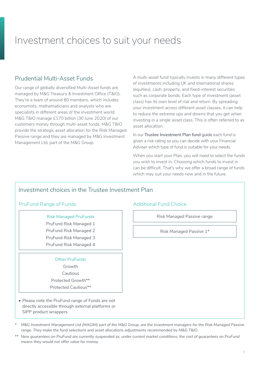## <span id="page-6-0"></span>Investment choices to suit your needs

#### Prudential Multi-Asset Funds

Our range of globally diversified Multi-Asset funds are managed by M&G Treasury & Investment Office (T&IO). They're a team of around 80 members, which includes economists, mathematicians and analysts who are specialists in different areas of the investment world. M&G T&IO manage £170 billion (30 June 2020) of our customers money through multi-asset funds. M&G T&IO provide the strategic asset allocation for the Risk Managed Passive range and they are managed by M&G Investment Management Ltd, part of the M&G Group.

A multi-asset fund typically invests in many different types of investments including UK and international shares (equities), cash, property, and fixed-interest securities such as corporate bonds. Each type of investment (asset class) has its own level of risk and return. By spreading your investment across different asset classes, it can help to reduce the extreme ups and downs that you get when investing in a single asset class. This is often referred to as asset allocation.

In our **Trustee Investment Plan fund** guide each fund is given a risk rating so you can decide with your Financial Adviser which type of fund is suitable for your needs.

When you start your Plan, you will need to select the funds you wish to invest in. Choosing which funds to invest in can be difficult. That's why we offer a broad range of funds which may suit your needs now and in the future.

#### Investment choices in the Trustee Investment Plan

#### PruFund Range of Funds **Additional Fund Choice**

#### Risk Managed PruFunds

- PruFund Risk Managed 1
- PruFund Risk Managed 2
- PruFund Risk Managed 3

#### PruFund Risk Managed 4

#### Other PruFunds

Growth

Cautious

Protected Growth\*\* Protected Cautious\*\*

• Please note the PruFund range of Funds are not directly accessible through external platforms or SIPP product wrappers

Risk Managed Passive range

Risk Managed Passive 1\*

*\* M&G Investment Management Ltd (MAGIM) part of the M&G Group, are the investment managers for the Risk Managed Passive range. They make the fund selections and asset allocations adjustments recommended by M&G T&IO.*

*\*\* New guarantees on PruFund are currently suspended as, under current market conditions, the cost of guarantees on PruFund means they would not offer value for money.*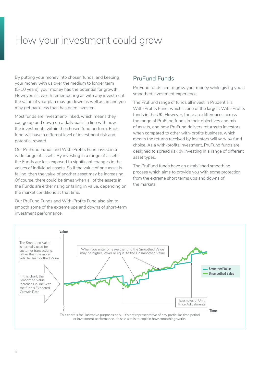## <span id="page-7-0"></span>How your investment could grow

By putting your money into chosen funds, and keeping your money with us over the medium to longer term (5-10 years), your money has the potential for growth. However, it's worth remembering as with any investment, the value of your plan may go down as well as up and you may get back less than has been invested.

Most funds are Investment-linked, which means they can go up and down on a daily basis in line with how the investments within the chosen fund perform. Each fund will have a different level of investment risk and potential reward.

Our PruFund Funds and With-Profits Fund invest in a wide range of assets. By investing in a range of assets, the Funds are less exposed to significant changes in the values of individual assets. So if the value of one asset is falling, then the value of another asset may be increasing. Of course, there could be times when all of the assets in the Funds are either rising or falling in value, depending on the market conditions at that time.

Our PruFund Funds and With-Profits Fund also aim to smooth some of the extreme ups and downs of short-term investment performance.

### PruFund Funds

PruFund funds aim to grow your money while giving you a smoothed investment experience.

The PruFund range of funds all invest in Prudential's With-Profits Fund, which is one of the largest With-Profits funds in the UK. However, there are differences across the range of PruFund funds in their objectives and mix of assets, and how PruFund delivers returns to investors when compared to other with-profits business, which means the returns received by investors will vary by fund choice. As a with-profits investment, PruFund funds are designed to spread risk by investing in a range of different asset types.

The PruFund funds have an established smoothing process which aims to provide you with some protection from the extreme short terms ups and downs of the markets.

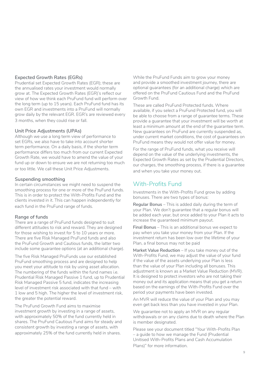#### **Expected Growth Rates (EGRs)**

Prudential set Expected Growth Rates (EGR); these are the annualised rates your investment would normally grow at. The Expected Growth Rates (EGR)'s reflect our view of how we think each PruFund fund will perform over the long term (up to 15 years). Each PruFund fund has its own EGR and investments into a PruFund will normally grow daily by the relevant EGR. EGR's are reviewed every 3 months, when they could rise or fall.

#### **Unit Price Adjustments (UPAs)**

Although we use a long term view of performance to set EGRs, we also have to take into account shorter term performance. On a daily basis, if the shorter term performance differs too much from our current Expected Growth Rate, we would have to amend the value of your fund up or down to ensure we are not returning too much or too little. We call these Unit Price Adjustments.

#### **Suspending smoothing**

In certain circumstances we might need to suspend the smoothing process for one or more of the PruFund funds. This is in order to protect the With-Profits Fund and the clients invested in it. This can happen independently for each fund in the PruFund range of funds.

#### **Range of funds**

There are a range of PruFund funds designed to suit different attitudes to risk and reward. They are designed for those wishing to invest for 5 to 10 years or more. There are five Risk Managed PruFund funds and also the PruFund Growth and Cautious funds, the latter two include some guarantee options (at an additional charge).

The five Risk Managed PruFunds use our established PruFund smoothing process and are designed to help you meet your attitude to risk by using asset allocation. The numbering of the funds within the fund names i.e. Prudential Risk Managed Passive 1 fund, up to Prudential Risk Managed Passive 5 fund, indicates the increasing level of investment risk associated with that fund – with 1 low and 5 high. The higher the level of investment risk, the greater the potential reward.

The PruFund Growth Fund aims to maximise investment growth by investing in a range of assets, with approximately 50% of the fund currently held in shares. The PruFund Cautious Fund aims for steady and consistent growth by investing a range of assets, with approximately 25% of the fund currently held in shares.

While the PruFund Funds aim to grow your money and provide a smoothed investment journey, there are optional guarantees (for an additional charge) which are offered on the PruFund Cautious Fund and the PruFund Growth Fund.

These are called PruFund Protected funds. Where available, if you select a PruFund Protected fund, you will be able to choose from a range of guarantee terms. These provide a guarantee that your investment will be worth at least a minimum amount at the end of the guarantee term. New guarantees on PruFund are currently suspended as, under current market conditions, the cost of guarantees on PruFund means they would not offer value for money.

For the range of PruFund funds, what you receive will depend on the value of the underlying investments, the Expected Growth Rates as set by the Prudential Directors, our charges, the smoothing process, if there is a guarantee and when you take your money out.

### With-Profits Fund

Investments in the With-Profits Fund grow by adding bonuses. There are two types of bonus:

**Regular Bonus** – This is added daily during the term of your Plan. We don't guarantee that a regular bonus will be added each year, but once added to your Plan it acts to increase the guaranteed minimum payout.

**Final Bonus** – This is an additional bonus we expect to pay when you take your money from your Plan. If the investment return has been low over the lifetime of your Plan, a final bonus may not be paid

**Market Value Reduction** – If you take money out of the With-Profits Fund, we may adjust the value of your fund if the value of the assets underlying your Plan is less than the value of your Plan including all bonuses. This adjustment is known as a Market Value Reduction (MVR). It is designed to protect investors who are not taking their money out and its application means that you get a return based on the earnings of the With-Profits Fund over the period your payments have been invested.

An MVR will reduce the value of your Plan and you may even get back less than you have invested in your Plan.

We quarantee not to apply an MVR on any regular withdrawals or on any claims due to death where the Plan is member designated.

Please see your document titled "Your With-Profits Plan – a guide to how we manage the Fund (Prudential Unitised With-Profits Plans and Cash Accumulation Plans)" for more information.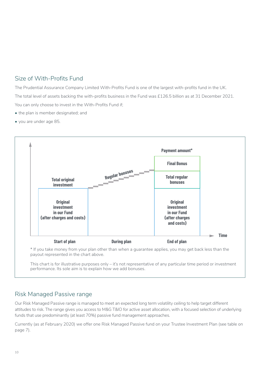### Size of With-Profits Fund

The Prudential Assurance Company Limited With-Profits Fund is one of the largest with-profits fund in the UK. The total level of assets backing the with-profits business in the Fund was £126.5 billion as at 31 December 2021. You can only choose to invest in the With-Profits Fund if;

- the plan is member designated; and
- you are under age 85.



This chart is for illustrative purposes only – it's not representative of any particular time period or investment performance. Its sole aim is to explain how we add bonuses.

#### Risk Managed Passive range

Our Risk Managed Passive range is managed to meet an expected long term volatility ceiling to help target different attitudes to risk. The range gives you access to M&G T&IO for active asset allocation, with a focused selection of underlying funds that use predominantly (at least 70%) passive fund management approaches.

Currently (as at February 2020) we offer one Risk Managed Passive fund on your Trustee Investment Plan (see table on page 7).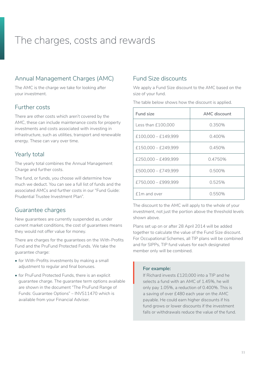## <span id="page-10-0"></span>The charges, costs and rewards

### Annual Management Charges (AMC)

The AMC is the charge we take for looking after your investment.

#### Further costs

There are other costs which aren't covered by the AMC, these can include maintenance costs for property investments and costs associated with investing in infrastructure, such as utilities, transport and renewable energy. These can vary over time.

### Yearly total

The yearly total combines the Annual Management Charge and further costs.

The fund, or funds, you choose will determine how much we deduct. You can see a full list of funds and the associated AMCs and further costs in our "Fund Guide: Prudential Trustee Investment Plan".

#### Guarantee charges

New guarantees are currently suspended as, under current market conditions, the cost of guarantees means they would not offer value for money.

There are charges for the guarantees on the With-Profits Fund and the PruFund Protected Funds. We take the guarantee charge:

- for With-Profits investments by making a small adjustment to regular and final bonuses.
- for PruFund Protected Funds, there is an explicit guarantee charge. The guarantee term options available are shown in the document "The PruFund Range of Funds: Guarantee Options" – INVS11470 which is available from your Financial Adviser.

### Fund Size discounts

We apply a Fund Size discount to the AMC based on the size of your fund.

The table below shows how the discount is applied.

| Fund size             | AMC discount |
|-----------------------|--------------|
| Less than £100,000    | 0.350%       |
| $£100,000 - £149,999$ | 0.400%       |
| $£150.000 - £249.999$ | 0.450%       |
| $£250,000 - £499,999$ | 0.4750%      |
| £500.000 - £749.999   | 0.500%       |
| £750,000 - £999,999   | 0.525%       |
| f1m and over          | 0.550%       |

The discount to the AMC will apply to the whole of your investment, not just the portion above the threshold levels shown above.

Plans set up on or after 28 April 2014 will be added together to calculate the value of the Fund Size discount. For Occupational Schemes, all TIP plans will be combined and for SIPPs, TIP fund values for each designated member only will be combined.

#### **For example:**

If Richard invests £120,000 into a TIP and he selects a fund with an AMC of 1.45%, he will only pay 1.05%, a reduction of 0.400%. This is a saving of over £480 each year on the AMC payable. He could earn higher discounts if his fund grows or lower discounts if the investment falls or withdrawals reduce the value of the fund.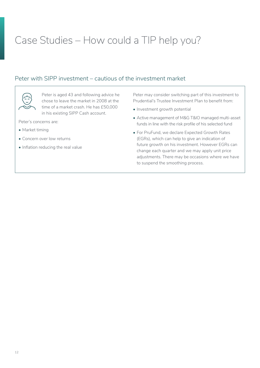## <span id="page-11-0"></span>Case Studies – How could a TIP help you?

### Peter with SIPP investment – cautious of the investment market



Peter is aged 43 and following advice he chose to leave the market in 2008 at the time of a market crash. He has £50,000 in his existing SIPP Cash account.

Peter's concerns are:

- Market timing
- Concern over low returns
- Inflation reducing the real value

Peter may consider switching part of this investment to Prudential's Trustee Investment Plan to benefit from:

- Investment growth potential
- Active management of M&G T&IO managed multi-asset funds in line with the risk profile of his selected fund
- For PruFund, we declare Expected Growth Rates (EGRs), which can help to give an indication of future growth on his investment. However EGRs can change each quarter and we may apply unit price adjustments. There may be occasions where we have to suspend the smoothing process.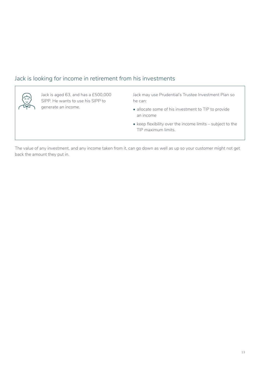### Jack is looking for income in retirement from his investments



Jack is aged 63, and has a £500,000 SIPP. He wants to use his SIPP to generate an income.

Jack may use Prudential's Trustee Investment Plan so he can:

- allocate some of his investment to TIP to provide an income
- keep flexibility over the income limits subject to the TIP maximum limits.

The value of any investment, and any income taken from it, can go down as well as up so your customer might not get back the amount they put in.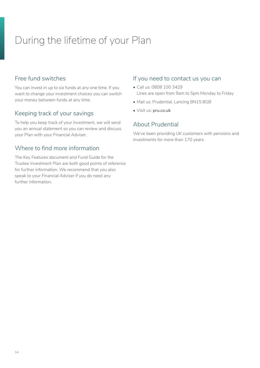## <span id="page-13-0"></span>During the lifetime of your Plan

#### Free fund switches

You can invest in up to six funds at any one time. If you want to change your investment choices you can switch your money between funds at any time.

### Keeping track of your savings

To help you keep track of your investment, we will send you an annual statement so you can review and discuss your Plan with your Financial Adviser.

### Where to find more information

The Key Features document and Fund Guide for the Trustee Investment Plan are both good points of reference for further information. We recommend that you also speak to your Financial Adviser if you do need any further information.

#### If you need to contact us you can

- Call us: 0808 100 3429 Lines are open from 9am to 5pm Monday to Friday
- Mail us: Prudential, Lancing BN15 8GB
- Visit us: **[pru.co.uk](https://www.pru.co.uk/)**

### About Prudential

We've been providing UK customers with pensions and investments for more than 170 years.